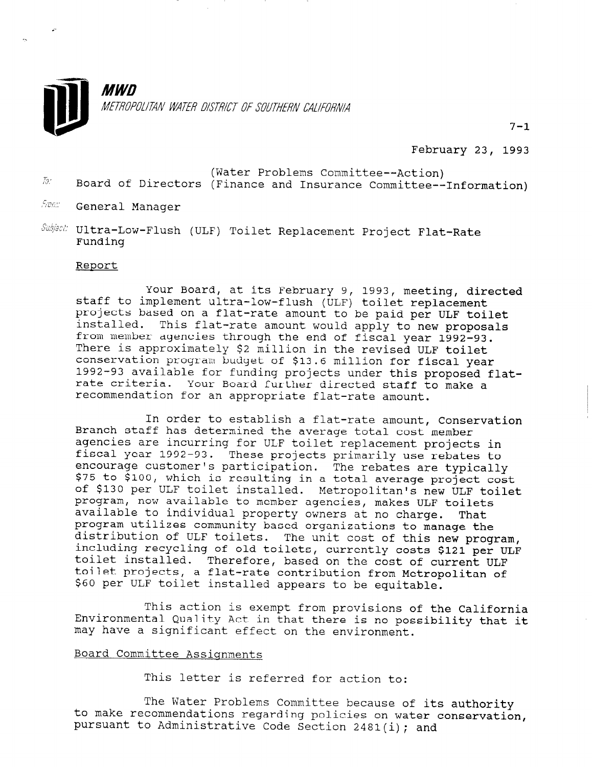

February 23, 1993

 $7 - 1$ 

- (Water Problems Committee--Action)<br>England of Directors (Finance and Inquesses Committee) Board of Directors (Finance and Insurance Committee--Information)
- Spax General Manager
- $Subijest$  Ultra-Low-Flush (ULF) Toilet Replacement Project Flat-Rate Funding

## Report

Your Board, at its February 9, 1993, meeting, directed staff to implement ultra-low-flush (ULF) toilet replacement projects based on a flat-rate amount to be paid per ULF toilet installed. This flat-rate amount would apply to new proposals from member agencies through the end of fiscal year 1992-93. Them member agencies enrough the end of fistal year 1992-There is approximately \$2 million in the revised ULF toilet<br>conservation program budget of \$13.6 million for fiscal year 1992-93 available for funding projects under this proposed flatrate criteria. Your Board further directed staff to make a rate criteria. Your Board further directed staff to make a<br>recommendation for an appropriate flat-rate amount.

In order to establish a flat-rate amount, Conservation Branch staff has determined the average total cost member agencies are incurring for ULF toilet replacement projects in fiscal year 1992-93. These projects primarily use rebates to its at year 1992-93. These projects primarily use repates<br>encourage customer's participation. The rebates are tunism enous construct is particular in the repares are cypically of \$130 prov, which is resulting in a total average project comprogram, now available to member agencies, macropolitan's new OLF. program, now avariable to member agencies, makes ULF COIIE program using the property owners at no charge. That program ucritzes community based organizations to manage the aiscribación of obr collecs. The unit cost of this new program, Including recycling of old tollets, currently costs \$121 per U.<br>toilet installed. Therefore, based on the cost of current toilet installed. Inerefore, based on the cost of current ULF colled projects, a flat-rate contribution from Met

This action is exempt from provisions of the California  $\mathcal{L}$  the California of the California of the California of the California of the California of the California of the California of the California of the Californ Environmental Quality Act in the California Cuality Act in the California Environmental Quality Act in that there is no possibility that it may have a significant effect on the environment.

## Board Committee Assignments

This letter is referred for action to:

The Water Problems Committee because of its authority to make recommendations required by the water problems committee because of to make recommendations regarding policies on water conservation, pursuant to Administrative Code Section 2481(i); and